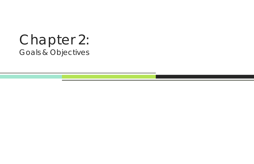# Chapter 2: Goals & Objectives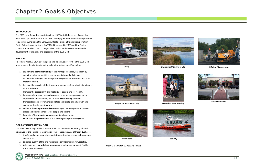## Chapter 2: Goals & Objectives

#### **INTRODUCTION**

The 2035 Long Range Transportation Plan (LRTP) establishes <sup>a</sup> set of goals that have been updated from the 2025 LRTP to comply with the Federal transportation requirements, including the Safe Accountable Flexible Efficient Transportation Equity Act: A Legacy for Users (SAFETEA‐LU), passed in 2005, and the Florida Transportation Plan. The CCC Regional LRTP also has been considered in the development of the goals and objectives of the 2035 LRTP.

#### **SAFETEA‐LU**

To comply with SAFETEA‐LU, the goals and objectives set forth in the 2035 LRTP must address the eight metropolitan planning factors identified below:

**Safety Environment/Quality of Life**



**Integration and Connectivity Accessibility and Mobility** 

- 1. Support the **economic vitality** of the metropolitan area, especially by enabling global competitiveness, productivity, and efficiency.
- 2. Increase the **safety** of the transportation system for motorized and non‐ motorized users.
- 3. Increase the **security** of the transportation system for motorized and non‐ motorized users.
- 4. Increase the **accessibility and mobility** of people and for freight.
- 5. Protect and enhance the **environment,** promote energy conservation, improve the **quality of life,** and promote **consistency** between transportation improvements and State and local planned growth and economic development patterns.
- 6. Enhance the **integration and connectivity** of the transportation system, across and between modes, for people and freight.
- 7. Promote **efficient system management** and operation.
- 8. Emphasize the **preservation** of the existing transportation system.

#### **FLORIDA TRANSPORTATION PLAN**

The 2035 LRTP is required by state statute to be consistent with the goals and objectives of the Florida Transportation Plan. These goals, as of March 2006, are:

- 1. A **safer** and more **secure** transportation system for residents, businesses, and visitors.
- 2. Enriched **quality of life** and responsible **environmental stewardship.**
- 3. Adequate and **cost‐efficient maintenance** and **preservation** of Florida's transportation assets.





*Figure 2‐1: SAFETEA‐LU Planning Factors*





**Security**





**Economic Vitality**



**Efficient Management**



**Preservation**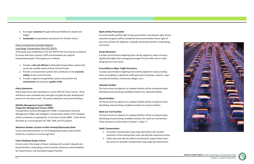



- 4. A stronger **economy** through enhanced mobility for people and freight.
- 5. **Sustainable** transportation investments for Florida's future.

#### Chairs Coordinating Committee Regional

### Long Range Transportation Plan (CCC RLRTP)

Three goals were established in the CCC RLRTP that must also be considered to ensure that Pasco County's LRTP accommodates the regional transportation goals. These goals are as follows:

- 1. Provide <sup>a</sup> **safe and efficient** multimodal transportation system that serves the mobility needs of West Central Florida.
- 2. Provide <sup>a</sup> transportation system that contributes to the **economic vitality** of west central Florida.
- 3. Provide <sup>a</sup> regional transportation system that protects the **environment** and preserves **quality of life.**

#### **Policy Statements**

Policy Statements were developed in <sup>a</sup> prior LRTP for Pasco County. These statements were reviewed and used again to guide the plan development process for this plan as well. The policy statements are presented below:

#### *Mobility Management System (MMS)/ Congestion Management Process (CMP)*

Transportation Systems Management (TSM), Transportation Demand Management (TDM), and Intelligent Transportation System (ITS) strategies will be considered, as appropriate, in the Pasco County MMS. Funds will be allocated on <sup>a</sup> recurring basis for TSM, TDM, and ITS projects.

#### *Maximum Number of Lanes on Non‐Freeway/Expressway Road*

Future road improvements on non‐freeway/expressway roads shall be limited to <sup>a</sup> maximum of six through‐lanes.

#### *Future Roadway Design Criteria*

Criteria used in the design of future roadways will consider sidewalk and bicycle facilities, landscaping, transit amenities Americans with Disabilities Act requirements, and associated support facilities.

#### *Right‐of‐Way Preservation*

An economically‐justified right‐of‐way preservation and advance right‐of‐way acquisition program will be considered that accommodates future right‐of‐ way cross sections for highways, sidewalks and bicycle facilities, landscaping, and transit.

#### *Goods Movement*

A project prioritization weighting factor will be applied to roads carrying <sup>a</sup> significantly higher than average percentage of truck traffic and on roads designated as truck routes.

#### *Accessibility to Major Traffic Generators*

A project prioritization weighting factor will be applied to roads providing direct accessibility to significant traffic generators (hospitals, airports, major recreational facilities, community colleges, etc.).

#### *Sidewalk Facilities*

The future land use adjacent to roadway facilities will be considered when identifying and prioritizing candidate locations for sidewalk facilities.

#### *Bicycle Facilities*

The future land use adjacent to roadway facilities will be considered when identifying and prioritizing candidate locations for bicycle facilities.

#### *Multi‐Use Trail Facilities*

The future land use adjacent to roadway facilities will be considered when identifying and prioritizing candidate locations for multi‐use trail facilities. These locations are illustrated in Chapter 7, Map 7‐7

#### *Public Transportation*

- 1. The public transportation long range alternatives will consider expansion of the existing fixed route and demand responsive service.
- 2. Public park‐and‐ride lots will be considered to support fixed‐route bus service in all public transportation long range plan alternatives.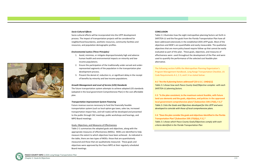### *Socio‐Cultural Effects*

Socio‐cultural effects will be incorporated into the LRTP development process. The impact of transportation projects will be considered for neighborhood boundaries, aesthetic resources, community facilities and resources, and population demographic profiles.

#### *Environmental Justice (Three Principles)*

- 1. Avoid, minimize, or mitigate disproportionately high and adverse human health and environmental impacts on minority and low‐ income populations.
- 2. Ensure the participation of the traditionally under‐served and under‐ represented segments of the population in the transportation plan development process.
- 3. Prevent the denial of, reduction in, or significant delay in the receipt of benefits by minority and low‐income populations.

#### *Growth Management and Level of Service (LOS) Standards*

The future transportation system attempts to achieve adopted LOS standards (adopted in the local government Comprehensive Plan) in the cost affordable plan.

#### *Transportation Improvement System Financing*

Future revenue sources necessary to fund the financially feasible transportation system (such as local option gas taxes, sales tax, increased transportation impact fees, and toll roads) will be developed and presented to the public through CAC meetings, public workshops and hearings, and MPO Board meetings.

#### Goals, Objectives, and Measures of Effectiveness

Table 2‐1 summarizes the adopted goals and objectives, along with the appropriate measures of effectiveness (MOEs). MOEs are identified to help measure the extent to which objectives have been achieved. As indicated in the table, there are two types of MOEs: those that are quantitatively measured and those that are qualitatively measured. These goals and objectives were approved by the Pasco MPO at their regularly scheduled Board meetings.

#### **CONCLUSION**

Table 2‐1 illustrates how the eight metropolitan planning factors set forth in SAFETEA‐LU and the five goals from the Florida Transportation Plan have all been addressed extensively in the established 2035 LRTP goals. Most of the objectives and MOE's are quantifiable and easily measurable. The qualitative objectives that are more policy based require follow up that cannot be easily evaluated as part of this plan. These goals, objectives, and measures of effectiveness were used throughout the development of the Plan and were used to quantify the performance of the selected cost feasible plan alternative.

The following section fulfills the Metropolitan Planning Organization's Program Management Handbook, Long Range Transportation Checklist, US Code Requirements A‐1, C‐3, and C‐4 as stated below:

**A‐1 "Are the 8 planning factors addressed? [23U.S.C. 134(h)(1)]** *Table 2‐1 shows how each Pasco County Goal/Objective complies with each SAFETEA‐LU planning factors.*

**C‐3 "Isthe plan consistent, to the maximum extent feasible, with future land use elements and the goals, objectives, and policies in the approved local government comprehensive plans? [Subsection 339.175(6), F.S.]"** *Table 2‐1 lists the Goals and Objectives developed for this LRTP and were developed to coincide with those of local comprehensive plans.*

**C‐4 "Doesthe plan considerthe goals and objectivesidentified in the Florida Transportation Plan? [Subsection 339.175(6)(a), F.S.] "**  *Table 2‐1 shows which Pasco County Goals/Objectives comply with each criteria identified in the Florida Transportation Plan*

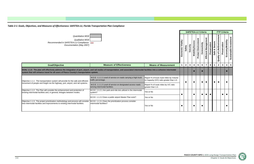

|                                                                                                                                                                                                                                                                             |                                                                                                 |                                                                                      |                      |                |              |                        | <b>SAFETEA-LU Criteria</b> |                 |                          |                |                         | <b>FTP Criteria</b>                            |                  |                        |
|-----------------------------------------------------------------------------------------------------------------------------------------------------------------------------------------------------------------------------------------------------------------------------|-------------------------------------------------------------------------------------------------|--------------------------------------------------------------------------------------|----------------------|----------------|--------------|------------------------|----------------------------|-----------------|--------------------------|----------------|-------------------------|------------------------------------------------|------------------|------------------------|
| Quantitative MOE<br>Qualitative MOE<br>Recommended in SAFETEA-LU Compliance xxx<br>Documentation (May 2007)                                                                                                                                                                 |                                                                                                 |                                                                                      | Vitality<br>Economic | Safety         | Security     | <b>Mobility/Access</b> | <b>Protect Environment</b> | onnectivity     | ent<br>Efficient Managem | Preservation   | Secure<br>න්<br>Safe    | of Life/Environment<br>Preservation<br>Quality | Economy/Mobility | Sustainable Investment |
| <b>Goal/Objective</b>                                                                                                                                                                                                                                                       | <b>Measure of Effectiveness</b>                                                                 | <b>Means of Measurement</b>                                                          |                      | $\overline{2}$ | $\mathbf{3}$ | 4                      | $5\phantom{.0}$            | $6\phantom{1}6$ | $\overline{7}$           | 8 <sup>1</sup> | $\overline{\mathbf{1}}$ | $\mathbf{2}$<br>$\mathbf{3}$                   | 4                | $5\phantom{.0}$        |
| GOAL 1.1.0: The plan will effectively address the integration of port, airport, and rail modes of transportation, and associated intermodal facilities into a cohesive intermodal<br>system that will enhance travel for all users of Pasco County's transportation system. |                                                                                                 |                                                                                      |                      |                |              |                        |                            |                 |                          |                |                         |                                                |                  |                        |
| Objective 1.1.1: The transportation system will provide for the safe and efficient                                                                                                                                                                                          | M.O.E. 1.1.1.1 Level of service on roads carrying a high truck<br>traffic percentage.           | Report % of truck route miles by Volume<br>to Capacity (V/C) ratio greater than 1.0. |                      | $\bullet$      |              |                        |                            | $\bullet$       | $\bullet$                |                | $\bullet$               |                                                | - 0              |                        |
| movement of people and freight via the highway, port, airport, and rail systems.                                                                                                                                                                                            | M.O.E. 1.1.1.2 Level of service on designated access roads<br>serving intermodal facilities.    | Report % of route miles by V/C ratio<br>greater than 1.0.                            |                      |                |              |                        |                            |                 |                          |                |                         |                                                |                  |                        |
| Objective 1.1.2: The Plan will consider the enhancement and protection of<br>existing intermodal facilities and, in general, linkages between modes.                                                                                                                        | M.O.E. 1.1.2.1 Are park-and-ride lots utilized in the intermodal<br>system?                     | Yes or No                                                                            |                      |                |              |                        |                            |                 | $\bullet$                | $\bullet$      |                         | $\bullet$                                      | $\bullet$        |                        |
|                                                                                                                                                                                                                                                                             | M.O.E. 1.1.2.2 Does a public airport Master Plan exist?                                         | IYes or No                                                                           |                      |                |              |                        |                            |                 |                          |                |                         |                                                |                  |                        |
| Objective 1.1.3: The project prioritization methodology and process will consider<br>new intermodal facilities and improvements to existing intermodal facilities.                                                                                                          | M.O.E. 1.1.3.1 Does the prioritization process consider<br>intermodal facilities?<br>lYes or No |                                                                                      |                      |                |              |                        |                            |                 |                          |                |                         |                                                |                  |                        |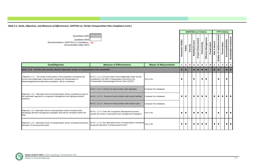|                                                                                                                                                                                                                         |                                                                                                                                                                             |                             |                      |                |              |                         | <b>SAFETEA-LU Criteria</b> |              |                      |                               |                                | <b>FTP Criteria</b> |                         |                        |
|-------------------------------------------------------------------------------------------------------------------------------------------------------------------------------------------------------------------------|-----------------------------------------------------------------------------------------------------------------------------------------------------------------------------|-----------------------------|----------------------|----------------|--------------|-------------------------|----------------------------|--------------|----------------------|-------------------------------|--------------------------------|---------------------|-------------------------|------------------------|
| Quantitative MOE<br>Qualitative MOE<br>Recommended in SAFETEA-LU Compliance xxx<br>Documentation (May 2007)                                                                                                             |                                                                                                                                                                             |                             | Vitality<br>Economic | Safety         | Security     | <b>Mobility/Access</b>  | <b>Protect Environment</b> | Connectivity | Efficient Management | Safe & Secure<br>Preservation | of Life/Environment<br>Quality | Preservation        | <b>Economy/Mobility</b> | Sustainable Investment |
| <b>Goal/Objective</b>                                                                                                                                                                                                   | <b>Measure of Effectiveness</b>                                                                                                                                             | <b>Means of Measurement</b> | $\mathbf 1$          | $\overline{2}$ | $\mathbf{3}$ | $\overline{\mathbf{4}}$ | $5\phantom{.0}$            | 6            | $\overline{7}$       | 8<br>$\mathbf{1}$             | 2 <sup>7</sup>                 | $3\phantom{a}$      | $\overline{\mathbf{4}}$ | $\sqrt{5}$             |
| GOAL 1.2.0: The Plan will consider effective alternative modes of transportation to the automobile.                                                                                                                     |                                                                                                                                                                             |                             | $\bullet$            |                |              |                         | $\bullet$                  |              | $\bullet$            |                               | $\bullet$<br>$\bullet$         |                     |                         | $\bullet$              |
| Objective 1.2.1: The needs of that portion of the population considered low<br>income and traditionally underserved, including the transportation of<br>disadvantaged/transit dependent population, will be considered. | M.O.E. 1.2.1.1 Are the needs of the traditionally under-served<br>considered in the MPO Transportation Plan and in the<br>Transportation Disadvantaged Service Plan (TDSP)? | Yes or No                   | $\bullet$            |                |              |                         |                            | 0            | $\bullet$            |                               | $\bullet$                      |                     |                         |                        |
|                                                                                                                                                                                                                         | M.O.E. 1.2.2.1 Percent of road corridors with sidewalks.                                                                                                                    | Compute from database       |                      |                |              |                         |                            |              |                      |                               |                                |                     |                         |                        |
| Objective 1.2.2: Alternative forms of transportation will be considered as part of<br>the systematic approach to congestion management and highway demand<br>reduction.                                                 | M.O.E. 1.2.2.2. Percent of road corridors with bicycle facilities                                                                                                           | Compute from database       | $\bullet$            | $\bullet$      |              | $\bullet$               | $\bullet$                  | $\bullet$    | $\bullet$            | $\bullet$                     |                                |                     |                         |                        |
|                                                                                                                                                                                                                         | M.O.E. 1.2.2.3. Percent of road corridors with transit routes                                                                                                               | Compute from database       |                      |                |              |                         |                            |              |                      |                               |                                |                     |                         |                        |
| Objective 1.2.3: Alternative forms of transportation will be reviewed when<br>developing demand management strategies that will be considered within the<br>Plan.                                                       | M.O.E. 1.2.3.1 Does the Congestion Management process<br>include the review of operational and management strategies?                                                       | Yes or No                   | $\bullet$            | $\bullet$      |              | $\bullet$               | $\bullet$                  | $\bullet$    | $\bullet$            |                               | $\bullet$                      |                     | $\bullet$               | $\bullet$              |
| Objective 1.2.4: Alternative forms of transportation will be considered during the<br>allocation of enhancement funds.                                                                                                  | M.O.E. 1.2.4.1 Are alternative forms of transportation considered<br>during the allocation of enhancement funds?                                                            | Yes or No                   | $\bullet$            | $\bullet$      |              | $\bullet$               | $\bullet$                  | $\bullet$    | $\bullet$            | $\bullet$                     | $\bullet$                      |                     |                         | $\bullet$              |

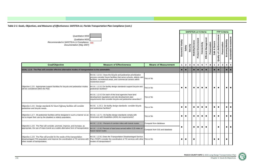

|                                                                                                                                                                                                |                                                                                                                                                                                                                                                                                                                                                                                                                                                                                                         |                                                        |                          |                | <b>SAFETEA-LU Criteria</b> |                        |                            |                |                      |              |                      |                             | <b>FTP Criteria</b> |                                            |
|------------------------------------------------------------------------------------------------------------------------------------------------------------------------------------------------|---------------------------------------------------------------------------------------------------------------------------------------------------------------------------------------------------------------------------------------------------------------------------------------------------------------------------------------------------------------------------------------------------------------------------------------------------------------------------------------------------------|--------------------------------------------------------|--------------------------|----------------|----------------------------|------------------------|----------------------------|----------------|----------------------|--------------|----------------------|-----------------------------|---------------------|--------------------------------------------|
| Quantitative MOE<br>Qualitative MOE<br>Recommended in SAFETEA-LU Compliance xxx<br>Documentation (May 2007)                                                                                    |                                                                                                                                                                                                                                                                                                                                                                                                                                                                                                         |                                                        | Vitality<br>conomic<br>ш | Safety         | Security                   | <b>Mobility/Access</b> | <b>Protect Environment</b> | Connectivity   | Efficient Management | Preservation | Secure<br>ත්<br>Safe | Quality of Life/Environment | Preservation        | Sustainable Investment<br>Economy/Mobility |
| <b>Goal/Objective</b>                                                                                                                                                                          | <b>Measure of Effectiveness</b>                                                                                                                                                                                                                                                                                                                                                                                                                                                                         | <b>Means of Measurement</b>                            | 1                        | $\overline{2}$ | $\mathbf{3}$               | 4                      | $\overline{\mathbf{5}}$    | $6\phantom{1}$ | $\overline{7}$       | 8            |                      | $\overline{\mathbf{2}}$     | $\mathbf{3}$        | $5\phantom{.0}$<br>$\overline{\mathbf{4}}$ |
| GOAL 1.2.0: The Plan will consider effective alternative modes of transportation to the automobile.                                                                                            |                                                                                                                                                                                                                                                                                                                                                                                                                                                                                                         |                                                        | $\bullet$                |                |                            | $\bullet$              |                            |                |                      |              |                      |                             |                     | $\bullet$                                  |
| Objective 1.2.5: Appropriate support facilities for bicycle and pedestrian modes<br>will be considered within the Plan.                                                                        | M.O.E. 1.2.5.1 Does the bicycle and pedestrian prioritization<br>process consider future facilities that serve schools, elderly care<br>facilities, recreational areas, and commercial centers within<br>residential areas?<br>M.O.E. 1.2.5.2 Do facility design standards support bicycle and<br>pedestrian facilities?<br>M.O.E. 1.2.5.3 Do each of the local agencies have land<br>development regulations and site development plan<br>requirements that consider bicycle and pedestrian amenities? | Yes or No<br>Yes or No<br>Yes or No                    | $\bullet$                |                |                            | $\bullet$              | $\bullet$                  | $\bullet$      | $\bullet$            |              |                      |                             |                     | $\bullet$<br>$\bullet$                     |
| Objective 1.2.6: Design standards for future highway facilities will consider<br>pedestrian and bicycle needs.                                                                                 | M.O.E. 1.2.6.1 Do facility design standards consider bicycle<br>and pedestrian facilities?                                                                                                                                                                                                                                                                                                                                                                                                              | Yes or No                                              | $\bullet$                | $\bullet$      |                            | $\bullet$              | $\bullet$                  | $\bullet$      | $\bullet$            |              | $\bullet$            | $\bullet$                   |                     | $\bullet$<br>$\bullet$                     |
| Objective 1.2.7: All pedestrian facilities will be designed in such a manner so as<br>not to impair their use by the disabled or elderly population.                                           | M.O.E. 1.2.7.1 Do facility design standards comply with<br>Americans with Disabilities (ADA) Act requirements?                                                                                                                                                                                                                                                                                                                                                                                          | Yes or No                                              | $\bullet$                | $\bullet$      |                            | $\bullet$              | $\bullet$                  | $\bullet$      | $\bullet$            |              |                      |                             |                     | $\bullet$<br>$\bullet$                     |
| Objective 1.2.8: The Plan will consider, promote, improve, and increase, as<br>appropriate, the use of mass transit as a viable alternative form of transportation.                            | M.O.E. 1.2.8.1 Percent of corridor miles with transit routes.<br>M.O.E. 1.2.8.2 Percent of land area served within 0.25 miles of<br>future transit routes                                                                                                                                                                                                                                                                                                                                               | Compute from database<br>Compute from GIS and database |                          |                |                            | $\bullet$              | $\bullet$                  | $\bullet$      | $\bullet$            |              |                      | $\bullet$                   |                     | $\bullet$ $\bullet$ $\bullet$              |
| Objective 1.2.9: The Plan will provide for the needs of the transportation<br>disadvantaged (TD) population and improve the coordination of TD services with<br>other modes of transportation. | M.O.E. 1.2.9.1 Does the Transportation Disadvantaged Service<br>Plan (TDSP) consider the coordination of TD services with other Yes or No<br>modes of transportation?                                                                                                                                                                                                                                                                                                                                   |                                                        | $\bullet$                | $\bullet$      |                            | $\bullet$              |                            |                |                      |              |                      |                             |                     | $\bullet$                                  |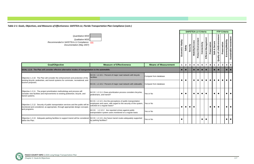

|                                                                                                                                                                                | Quantitative MOE<br>Qualitative MOE<br>Recommended in SAFETEA-LU Compliance xxx<br>Documentation (May 2007)                                                      |                             |                      |              |              |                        |                            | <b>SAFETEA-LU Criteria</b> |                      |              |               |                                    | <b>FTP Criteria</b> |                                            |
|--------------------------------------------------------------------------------------------------------------------------------------------------------------------------------|------------------------------------------------------------------------------------------------------------------------------------------------------------------|-----------------------------|----------------------|--------------|--------------|------------------------|----------------------------|----------------------------|----------------------|--------------|---------------|------------------------------------|---------------------|--------------------------------------------|
|                                                                                                                                                                                |                                                                                                                                                                  |                             | Vitality<br>Economic | Safety       | Security     | <b>Mobility/Access</b> | <b>Protect Environment</b> | Connectivity               | Efficient Management | Preservation | Safe & Secure | <b>Quality of Life/Environment</b> | Preservation        | Sustainable Investment<br>Economy/Mobility |
| <b>Goal/Objective</b>                                                                                                                                                          | <b>Measure of Effectiveness</b>                                                                                                                                  | <b>Means of Measurement</b> | $\blacktriangleleft$ | $\mathbf{2}$ | $\mathbf{3}$ | $\boldsymbol{4}$       | 5 <sup>5</sup>             | $\bf 6$                    | $\overline{7}$       | 8            |               | $\mathbf{2}$                       | $\mathbf{3}$        | ${\bf 5}$<br>$\overline{\mathbf{4}}$       |
| GOAL 1.2.0: The Plan will consider effective alternative modes of transportation to the automobile.                                                                            |                                                                                                                                                                  |                             | $\bullet$            | $\bullet$    |              |                        |                            |                            |                      |              | $\bullet$     | $\bullet$                          |                     | $\bullet$                                  |
| Objective 1.2.10: The Plan will consider the enhancement and protection of the                                                                                                 | M.O.E. 1.2.10.1 Percent of major road network with bicycle<br>facilities                                                                                         | Compute from database       |                      |              |              |                        |                            |                            |                      |              |               |                                    |                     |                                            |
| existing bicycle, pedestrian, and transit systems for commuter, recreational, and<br>tourism proposes.                                                                         | M.O.E. 1.2.10.2 Percent of major road network with sidewalks                                                                                                     | Compute from database       | $\bullet$            | $\bullet$    |              |                        |                            |                            | $\bullet$            |              |               |                                    |                     |                                            |
| Objective 1.2.11: The project prioritization methodology and process will<br>consider new facilities and improvements to existing pedestrian, bicycle, and<br>transit systems. | M.O.E. 1.2.11.1 Does prioritization process considers bicycles,<br>pedestrians, and transit?                                                                     | Yes or No                   | $\bullet$            | $\bullet$    |              | $\bullet$              | $\bullet$                  | $\bullet$                  | $\bullet$            |              | $\bullet$     | $\bullet$                          |                     | $\bullet$<br>$\bullet$                     |
| Objective 1.2.12: Security of public transportation services and the public will be<br>monitored and considered, as appropriate, through appropriate design concepts           | M.O.E. 1.2.12.1 Are the perceptions of public transportation<br>employees and users, with regard to the security of the system,<br>solicited on a regular basis? | Yes or No                   | $\bullet$            | $\bullet$    | $\bullet$    |                        |                            |                            |                      |              | $\bullet$     | $\bullet$                          |                     | $\bullet$<br>$\bullet$                     |
| and programs.                                                                                                                                                                  | M.O.E. 1.2.12.2 Are reported crimes against public<br>transportation system users monitored on a regular basis                                                   | Yes or No                   |                      |              |              |                        |                            |                            |                      |              |               |                                    |                     |                                            |
| Objective 1.2.13: Adequate parking facilities to support transit will be considered M.O.E. 1.2.13.1 Are future transit routes adequately supported<br>within the Plan.         | by parking facilities?                                                                                                                                           | Yes or No                   | $\bullet$            |              |              |                        |                            | $\bullet$                  | $\bullet$            |              |               |                                    |                     | $\bullet$<br>$\bullet$                     |

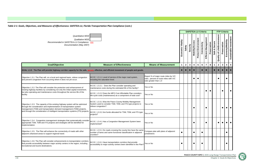

|                                                                                                                                                                                                                                  |                                                                                                                                               |                                                                                                          |                      |                |              |                            |                            |                |                      |              |                      | <b>FTP Criteria</b>                |              |                                            |
|----------------------------------------------------------------------------------------------------------------------------------------------------------------------------------------------------------------------------------|-----------------------------------------------------------------------------------------------------------------------------------------------|----------------------------------------------------------------------------------------------------------|----------------------|----------------|--------------|----------------------------|----------------------------|----------------|----------------------|--------------|----------------------|------------------------------------|--------------|--------------------------------------------|
| Quantitative MOE<br>Qualitative MOE<br>Recommended in SAFETEA-LU Compliance xxx<br>Documentation (May 2007)                                                                                                                      |                                                                                                                                               |                                                                                                          | Vitality<br>Economic | Safety         | Security     | n<br><b>Mobility/Acces</b> | <b>Protect Environment</b> | Connectivity   | Efficient Management | Preservation | Secure<br>න්<br>Safe | <b>Quality of Life/Environment</b> | Preservation | Sustainable Investment<br>Economy/Mobility |
| <b>Goal/Objective</b>                                                                                                                                                                                                            | <b>Measure of Effectiveness</b>                                                                                                               | <b>Means of Measurement</b>                                                                              | 1                    | $\overline{2}$ | $\mathbf{3}$ | 4                          | $\overline{\mathbf{5}}$    | $6\phantom{1}$ | $\overline{7}$       | 8            |                      | $\overline{2}$                     | $\mathbf{3}$ | $5\phantom{.0}$<br>4                       |
| GOAL 1.3.0: The Plan will provide highway corridor capacity for the safe, secure, effective, and efficient movement of people and goods.                                                                                         |                                                                                                                                               |                                                                                                          |                      |                |              |                            |                            |                |                      |              |                      |                                    |              |                                            |
| Objective 1.3.1: The Plan will, on a local and regional basis, relieve congestion<br>and prevent congestion from occurring where it does not yet occur.                                                                          | M.O.E. 1.3.1.1 Level of service of the major road system,<br>including the saturation level.                                                  | Report % of major route miles by V/C<br>ratio; percent of route miles with V/C<br>ratio greater than 1.0 |                      |                |              | $\bullet$                  | $\bullet$                  |                |                      |              |                      |                                    |              |                                            |
| Objective 1.3.2: The Plan will consider the protection and enhancement of<br>existing highway facilities by considering not only the initial capital investment,                                                                 | M.O.E. 1.3.2.1 Does the Plan consider operating and<br>maintenance costs during the estimated life of the facility?                           | Yes or No                                                                                                |                      |                |              |                            |                            |                |                      |              |                      |                                    |              |                                            |
| but also operating and maintenance costs throughout the service life of the<br>facility.                                                                                                                                         | M.O.E. 1.3.2.2 Does the MPO Cost Affordable Plan considers<br>life-cycle costs (maintenance) as a component of total cost?                    | Yes or No                                                                                                |                      |                |              |                            |                            |                | $\bullet$            |              |                      |                                    |              |                                            |
| Objective 1.3.3: The capacity of the existing highway system will be optimized<br>through the consideration and implementation of transportation system<br>management (TSM) and transportation demand management (TDM) projects, | M.O.E. 1.3.3.1 Was the Pasco County Mobility Management<br>System used to consider TSM, TDM, and ITS type projects to<br>relieve congestion?  | Yes or No                                                                                                |                      |                |              |                            |                            |                | $\bullet$            |              |                      |                                    |              |                                            |
| and through the consideration of intelligent transportation systems (ITS) projects.                                                                                                                                              | M.O.E. 1.3.3.2 Are funds allocated for TSM, TDM, and ITS type<br>projects?                                                                    | Yes or No                                                                                                |                      |                |              |                            |                            |                |                      |              |                      |                                    |              |                                            |
| Objective 1.3.4: Congestion management strategies that systematically consider<br>appropriate TSM, TDM and ITS projects and strategies will be identified for<br>implementation.                                                 | M.O.E. 1.3.4.1 Has a Congestion Management System been<br>implemented?                                                                        | Yes or No                                                                                                |                      |                |              |                            |                            |                |                      |              |                      |                                    |              |                                            |
| Objective 1.3.5: The Plan will enhance the connectivity of roads with other<br>adjacent urbanized areas to support regional travel.                                                                                              | M.O.E. 1.3.5.1 Do roads crossing the county line have the same<br>number of lanes and same functional classification in adjacent<br>counties? | Compare plan with plans of adjacent<br>jurisdictions                                                     |                      |                |              |                            |                            |                |                      |              |                      |                                    |              | $\bullet$                                  |
| Objective 1.3.6: The Plan will consider enhancements to transportation corridors<br>that provide accessibility between major activity centers in the region, including<br>recreational and tourist destinations.                 | M.O.E. 1.3.6.1 Have transportation corridors that provide<br>accessibility to major activity centers been identified in the Plan?             | Yes or No                                                                                                |                      |                |              |                            |                            |                |                      |              |                      |                                    |              | 0                                          |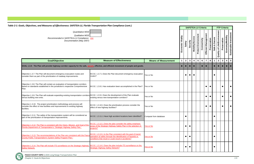**PASCO COUNTY MPO |** 2035 Long Range Transportation Plan

Table 2-1: Goals, Objectives, and Measures of Effectiveness: SAFETEA-LU, Florida Transportation Plan Compliance (cont.)

| ioals, Objectives, and Measures of Effectiveness: SAFETEA-LU, Florida Transportation Plan Compliance (cont.)                                                               |                                                                                                                                                                                         |                             |                      |                |              |                        | <b>SAFETEA-LU Criteria</b> |                |                      |              |                      |                             | <b>FTP Criteria</b> |                                            |
|----------------------------------------------------------------------------------------------------------------------------------------------------------------------------|-----------------------------------------------------------------------------------------------------------------------------------------------------------------------------------------|-----------------------------|----------------------|----------------|--------------|------------------------|----------------------------|----------------|----------------------|--------------|----------------------|-----------------------------|---------------------|--------------------------------------------|
| Quantitative MOE<br>Qualitative MOE<br>Recommended in SAFETEA-LU Compliance xxx<br>Documentation (May 2007)                                                                |                                                                                                                                                                                         |                             | Vitality<br>Economic | Safety         | Security     | <b>Mobility/Access</b> | <b>Protect Environment</b> | Connectivity   | Efficient Management | Preservation | Secure<br>න්<br>Safe | Quality of Life/Environment | Preservation        | Sustainable Investment<br>Economy/Mobility |
| <b>Goal/Objective</b>                                                                                                                                                      | <b>Measure of Effectiveness</b>                                                                                                                                                         | <b>Means of Measurement</b> | 1                    | $\overline{2}$ | $\mathbf{3}$ | 4                      | $\sqrt{5}$                 | $6\phantom{1}$ | $\overline{7}$       | 8            |                      | $\overline{2}$              | $\mathbf{3}$        | $5\phantom{.0}$<br>4                       |
| GOAL 1.3.0: The Plan will provide highway corridor capacity for the safe, secure, effective, and efficient movement of people and goods.                                   |                                                                                                                                                                                         |                             |                      |                |              |                        |                            |                |                      |              |                      |                             |                     |                                            |
| Objective 1.3.7: The Plan will document emergency evacuation routes and<br>consider them as part of the prioritization of roadway improvements.                            | M.O.E. 1.3.7.1 Does the Plan document emergency evacuation<br>outes?                                                                                                                    | Yes or No                   |                      |                |              |                        |                            |                |                      |              |                      |                             |                     |                                            |
| Objective 1.3.8: The Plan will contain an evaluation of transportation corridors<br>based on standards established in the jurisdiction's respective Comprehensive<br>Plan. | M.O.E. 1.3.8.1 Has evaluation been accomplished in the Plan?                                                                                                                            | Yes or No                   |                      |                |              |                        |                            |                | $\bullet$            |              |                      |                             |                     | $\bullet$                                  |
| Objective 1.3.9: The Plan will evaluate expanding existing transportation corridors M.O.E. 1.3.9.1 Does the development of the Plan evaluate<br>versus building new ones.  | existing versus new transportation corridors?                                                                                                                                           | Yes or No                   |                      |                |              |                        |                            |                | $\bullet$            |              |                      |                             |                     | $\bullet$                                  |
| Objective 1.3.10: The project prioritization methodology and process will<br>consider the effect of new facilities and improvements to existing highway<br>facilities.     | M.O.E. 1.3.10.1 Does the prioritization process consider the<br>effect of new highway facilities?                                                                                       | Yes or No                   |                      |                |              |                        |                            |                | $\bullet$            |              |                      |                             |                     | $\bullet$                                  |
| Objective 1.3.11: The safety of the transportation system will be considered as<br>part of the prioritization of transportation improvements.                              | M.O.E. 1.3.11.1 Have high accident locations been identified?                                                                                                                           | Compute from database       |                      | $\bullet$      |              |                        |                            |                |                      |              |                      |                             |                     |                                            |
| Objective 1.3.12: The Plan is consistent with the Vision, Mission, and Goal of the<br>Florida Department of Transportation's "Strategic Highway Safety Plan."              | M.O.E. 1.3.12.1 Does the plan consider the safety emphasis<br>areas of the Strategic Highway Safety Plan in the selection of<br>projects?                                               | <b>Yes or No</b>            |                      | $\bullet$      |              |                        |                            |                |                      |              |                      |                             |                     |                                            |
| Objective 1.3.13: The recommendations of the Plan are consistent with the Pasco<br><b>County Public Transportation's System Safety Program Plan."</b>                      | M.O.E. 1.3.13.1 Is the Plan consistent with the goal of transit<br>operation al safety through the identification of hazards or<br>conditions that result or could result in accidents? | Yes or No                   |                      | $\bullet$      |              |                        |                            |                |                      |              |                      |                             |                     |                                            |
| Objective 1.3.14: The Plan will include ITS surveillance on the Strategic Highway<br><b>Safety Network.</b>                                                                | M.O.E. 1.3.14.1 Does the plan include ITS surveillance on the<br><b>Strategic Highway Safety Network?</b>                                                                               | <b>Yes or No</b>            |                      | $\bullet$      | $\bullet$    |                        |                            |                |                      |              |                      |                             |                     |                                            |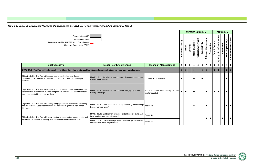



|                                                                                                                                                                                                          |                                                                                                                                                                                                                  |                                                                 |                      |                |              |                         | <b>SAFETEA-LU Criteria</b> |                |                                      |                         |                             | <b>FTP Criteria</b> |                                            |
|----------------------------------------------------------------------------------------------------------------------------------------------------------------------------------------------------------|------------------------------------------------------------------------------------------------------------------------------------------------------------------------------------------------------------------|-----------------------------------------------------------------|----------------------|----------------|--------------|-------------------------|----------------------------|----------------|--------------------------------------|-------------------------|-----------------------------|---------------------|--------------------------------------------|
| Quantitative MOE<br>Qualitative MOE<br>Recommended in SAFETEA-LU Compliance XXX<br>Documentation (May 2007)                                                                                              |                                                                                                                                                                                                                  |                                                                 | Vitality<br>Economic | Safety         | Security     | <b>Mobility/Access</b>  | Protect Environment        | Connectivity   | Efficient Management<br>Preservation | Safe & Secure           | Quality of Life/Environment | Preservation        | Sustainable Investment<br>Economy/Mobility |
| <b>Goal/Objective</b>                                                                                                                                                                                    | <b>Measure of Effectiveness</b>                                                                                                                                                                                  | <b>Means of Measurement</b>                                     | $\mathbf 1$          | $\overline{2}$ | $\mathbf{3}$ | $\overline{\mathbf{4}}$ | $\sqrt{5}$                 | $6\phantom{1}$ | $\overline{7}$<br>8                  | $\overline{\mathbf{1}}$ | $\overline{2}$              | $\mathbf{3}$        | $5\phantom{.0}$<br>$\overline{\mathbf{4}}$ |
| GOAL 2.0.0: The Plan will be financially feasible and develop multimodal facilities and services that support economic development.                                                                      |                                                                                                                                                                                                                  |                                                                 | $\bullet$            |                |              |                         |                            |                |                                      |                         |                             |                     | $\bullet$<br>$\bullet$                     |
| Objective 2.0.1: The Plan will support economic development through<br>consideration of improved access and connections to port, rail, and airport<br>facilities.                                        | M.O.E. 2.0.1.1 Level of service on roads designated as access<br>to intermodal facilities                                                                                                                        | Compute from database                                           | $\bullet$            |                |              | $\bullet$               |                            | €              |                                      |                         |                             |                     | $\bullet$                                  |
| Objective 2.0.2: The Plan will support economic development by ensuring that<br>transportation systems are in place that promote and enhance the efficient and<br>safe movement of freight and services. | M.O.E. 2.0.2.1 Level of service on roads carrying high truck<br>traffic percentage                                                                                                                               | Report % of truck route miles by V/C ratio<br>greater than 1.0. |                      | $\bullet$      |              | $\bullet$               |                            |                | $\bullet$                            | $\bullet$               | $\bullet$                   |                     | $\bullet$                                  |
| Objective 2.0.3: The Plan will identify geographic areas that allow high density<br>and intensity land uses that may have the potential to generate high transit<br>ridership.                           | M.O.E. 2.0.3.1 Does Plan includes map identifying potential high Yes or No<br>transit ridership areas?                                                                                                           |                                                                 |                      |                |              | $\bullet$               |                            |                |                                      |                         |                             |                     | $\bullet$<br>$\bullet$                     |
| Objective 2.0.4: The Plan will review existing and alternative federal, state, and<br>local revenue sources to develop a financially feasible multimodal plan.                                           | M.O.E. 2.0.4.1 Did the Plan review potential Federal, State and<br>local funding sources and options?<br>M.O.E. 2.0.4.2 Are available projected revenues greater than or<br>equal to Plan costs by jurisdiction? | Yes or No<br>Yes or No                                          |                      |                |              |                         |                            |                | $\bullet$                            |                         |                             |                     |                                            |
|                                                                                                                                                                                                          |                                                                                                                                                                                                                  |                                                                 |                      |                |              |                         |                            |                |                                      |                         |                             |                     |                                            |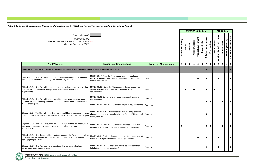**PASCO COUNTY MPO |** 2035 Long Range Transportation Plan

|                                                                                                                                                                                          |                                                                                                                                                    |                             |                      |              |              |                        | <b>SAFETEA-LU Criteria</b> |                |                                      |                     |                             |              | <b>FTP Criteria</b>                        |
|------------------------------------------------------------------------------------------------------------------------------------------------------------------------------------------|----------------------------------------------------------------------------------------------------------------------------------------------------|-----------------------------|----------------------|--------------|--------------|------------------------|----------------------------|----------------|--------------------------------------|---------------------|-----------------------------|--------------|--------------------------------------------|
| Quantitative MOE<br>Qualitative MOE<br>Recommended in SAFETEA-LU Compliance xxx<br>Documentation (May 2007)                                                                              |                                                                                                                                                    |                             | Vitality<br>Economic | Safety       | Security     | <b>Mobility/Access</b> | <b>Protect Environment</b> | Connectivity   | Efficient Management<br>Preservation | Secure<br>ఱ<br>Safe | Quality of Life/Environment | Preservation | Sustainable Investment<br>Economy/Mobility |
| <b>Goal/Objective</b>                                                                                                                                                                    | <b>Measure of Effectiveness</b>                                                                                                                    | <b>Means of Measurement</b> | -1                   | $\mathbf{2}$ | $\mathbf{3}$ | 4                      | $5\phantom{.0}$            | $6\phantom{1}$ | $\overline{7}$                       | 8                   | $\overline{2}$              | $\mathbf{3}$ | $5\phantom{.0}$<br>4                       |
| GOAL 3.0.0: The Plan will be supportive and consistent with Land Use and Growth Management Regulations.                                                                                  |                                                                                                                                                    |                             |                      |              |              |                        |                            |                | $\bullet$                            |                     |                             |              |                                            |
| Objective 3.0.1: The Plan will support Land Use regulatory functions, including<br>land use plan amendments, zoning, and concurrency reviews.                                            | M.O.E. 3.0.1.1 Does the Plan support land use regulatory<br>functions, including land use plan amendments, zoning, and<br>concurrency reviews?     | Yes or No                   |                      |              |              |                        | $\bullet$                  |                | $\bullet$                            |                     |                             |              |                                            |
| Objective 3.0.2: The Plan will support the site plan review process by providing<br>technical support for access management, site setback, and clear zone<br>requirements.               | M.O.E. 3.0.2.1 Does the Plan provide technical support for<br>access management, site setback, and clear zone<br>requirements?                     | Yes or No                   |                      |              |              | 0                      |                            |                | $\bullet$                            |                     |                             |              | $\bullet$                                  |
| Objective 3.0.3: The Plan will include a corridor preservation map that supports<br>sufficient space for roadway improvements, mass transit, and other alternative                       | M.O.E. 3.0.3.1 Do right-of-way needs consider all modes of<br>transportation?                                                                      | Yes or No                   |                      |              |              |                        |                            |                | $\bullet$                            |                     |                             |              |                                            |
| modes of transportation.                                                                                                                                                                 | M.O.E. 3.0.3.2 Does the Plan contain a right-of-way needs map? Yes or No                                                                           |                             |                      |              |              |                        |                            |                |                                      |                     |                             |              |                                            |
| Objective 3.0.4: The Plan will support and be compatible with the comprehensive<br>plans of the local governments within the Pasco MPO area and the regional plan.                       | M.O.E. 3.0.4.1 Is the Plan compatible with the comprehensive<br>plans of the local governments within the Pasco MPO area and<br>the regional plan? | Yes or No                   |                      |              |              |                        |                            |                | 0                                    |                     |                             |              |                                            |
| Objective 3.0.5: The Plan will support an economically justified advance right-of-<br>way acquisition program or corridor preservation for future planned<br>improvements.               | M.O.E. 3.0.5.1 Does the Plan consider advance right-of-way<br>acquisition or corridor preservation for planned improvements?                       | Yes or No                   | $\bullet$            |              |              |                        |                            |                | $\bullet$                            | $\bullet$           |                             | $\bullet$    | $\bullet$                                  |
| Objective 3.0.6: The demographic projections on which the Plan is based will be<br>consistent with the local government adopted future land use plan map and<br>demographic projections. | M.O.E. 3.0.6.1 Are Plan demographic projections consistent with<br>future land use plans of county and local government?                           | Yes or No                   |                      |              |              |                        | $\bullet$                  |                | $\bullet$                            |                     |                             |              | $\bullet$                                  |
| Objective 3.0.7: The Plan goals and objectives shall consider other local<br>jurisdictions' goals and objectives.                                                                        | M.O.E. 3.0.7.1 Do Plan goals and objectives consider other local<br>jurisdictions' goals and objectives?                                           | Yes or No                   |                      |              |              |                        |                            |                | $\bullet$                            |                     |                             |              | $\bullet$                                  |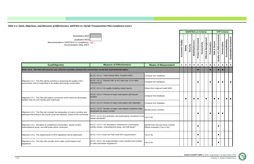

|              |          |                        |                     | <b>SAFETEA-LU Criteria</b> |                      |              |               |                             | <b>FTP Criteria</b> |                  |                        |
|--------------|----------|------------------------|---------------------|----------------------------|----------------------|--------------|---------------|-----------------------------|---------------------|------------------|------------------------|
| <b>Dalps</b> | Security | <b>Mobility/Access</b> | Protect Environment | Connectivity               | Efficient Management | Preservation | Safe & Secure | Quality of Life/Environment | Preservation        | Economy/Mobility | Sustainable Investment |
| 2            | 3        | 4                      | 5                   | 6                          | 7                    | 8            | 1             | $\overline{\mathbf{c}}$     | 3                   | 4                | 5                      |
|              |          |                        |                     |                            |                      |              |               |                             |                     |                  |                        |
|              |          |                        |                     |                            |                      |              |               |                             |                     |                  |                        |
|              |          |                        |                     |                            |                      |              |               |                             |                     |                  |                        |
|              |          |                        |                     |                            |                      |              |               |                             |                     |                  |                        |
|              |          |                        |                     |                            |                      |              |               |                             |                     |                  |                        |
|              |          |                        |                     |                            |                      |              |               |                             |                     |                  |                        |
|              |          |                        |                     |                            |                      |              |               |                             |                     |                  |                        |

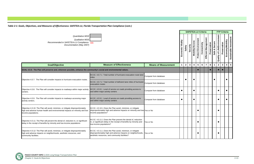

|                                                                                                                                                                                        |                                                                                                                                                                                         |                             |                      |                | <b>SAFETEA-LU Criteria</b> |                         |                            |              |                          |              |                  |                                | <b>FTP Criteria</b> |                                                    |
|----------------------------------------------------------------------------------------------------------------------------------------------------------------------------------------|-----------------------------------------------------------------------------------------------------------------------------------------------------------------------------------------|-----------------------------|----------------------|----------------|----------------------------|-------------------------|----------------------------|--------------|--------------------------|--------------|------------------|--------------------------------|---------------------|----------------------------------------------------|
| Quantitative MOE<br>Qualitative MOE<br>Recommended in SAFETEA-LU Compliance xxx<br>Documentation (May 2007)                                                                            |                                                                                                                                                                                         |                             | Vitality<br>Economic | Safety         | Security                   | <b>Mobility/Access</b>  | <b>Protect Environment</b> | Connectivity | ent<br>Efficient Managem | Preservation | Secure<br>Safe & | of Life/Environment<br>Quality | Preservation        | Sustainable Investment<br>Economy/Mobility         |
| <b>Goal/Objective</b>                                                                                                                                                                  | <b>Measure of Effectiveness</b>                                                                                                                                                         | <b>Means of Measurement</b> | $\mathbf 1$          | $\overline{2}$ | $\mathbf{3}$               | $\overline{\mathbf{4}}$ | $\overline{\mathbf{5}}$    | 6            | $\overline{7}$           | 8            | $\mathbf{1}$     | $\mathbf{2}$                   | $\mathbf{3}$        | $\overline{\mathbf{5}}$<br>$\overline{\mathbf{4}}$ |
| GOAL 4.0.0: The Plan will preserve and, wherever possible, enhance the community's social and environmental values.                                                                    |                                                                                                                                                                                         |                             |                      |                |                            |                         |                            |              |                          |              |                  |                                |                     |                                                    |
|                                                                                                                                                                                        | M.O.E. 4.0.7.1 Total number of hurricane evacuation route lane<br>miles                                                                                                                 | Compute from database       |                      |                |                            |                         |                            |              |                          |              |                  |                                |                     |                                                    |
| Objective 4.0.7: The Plan will consider impacts to hurricane evacuation routes.                                                                                                        | M.O.E. 4.0.7.2 Total number of deficient lane miles of hurricane<br>evacuation routes                                                                                                   | Compute from database       |                      |                |                            |                         |                            |              |                          |              |                  |                                |                     | - 0                                                |
| Objective 4.0.8: The Plan will consider impacts to roadways within major activity<br>centers.                                                                                          | M.O.E. 4.0.8.1 Level of service on roads providing access to<br>and within major activity centers                                                                                       | Compute from database       | $\bullet$            |                |                            |                         |                            |              |                          |              |                  | $\bullet$                      |                     |                                                    |
| Objective 4.0.9: The Plan will consider impacts to roadways accessing major<br>activity centers.                                                                                       | M.O.E. 4.0.9.1 Level of service on roads providing access to<br>and within major activity centers                                                                                       | Compute from database       | $\bullet$            |                |                            |                         |                            |              |                          |              |                  | $\bullet$                      |                     |                                                    |
| Objective 4.0.10: The Plan will avoid, minimize, or mitigate disproportionately<br>high and adverse human health and environmental impacts on minority and low-<br>income populations. | M.O.E. 4.0.10.1 Does the Plan avoid, minimize, or mitigate<br>disproportionately high and adverse impacts on minority and low-Yes or No<br>income populations?                          |                             |                      |                |                            |                         |                            |              |                          |              |                  |                                |                     |                                                    |
| Objective 4.0.11: The Plan will prevent the denial of, reduction in, or significant<br>delay in the receipt of benefits by minority and low-income populations                         | M.O.E. 4.0.11.1 Does the Plan prevent the denial of, reduction<br>in, or significant delay in the receipt of benefits by minority and<br>low-income populations?                        | Yes or No                   |                      |                |                            |                         | $\bullet$                  |              |                          |              |                  | $\bullet$                      |                     |                                                    |
| Objective 4.0.12: The Plan will avoid, minimize, or mitigate disproportionately<br>high and adverse impacts on neighborhoods, aesthetic resources, and<br>community facilities.        | M.O.E. 4.0.11.1 Does the Plan avoid, minimize, or mitigate<br>disproportionately high and adverse impacts on neighborhoods, Yes or No<br>aesthetic resources, and community facilities? |                             |                      |                |                            |                         |                            |              |                          |              |                  | $\bullet$                      |                     |                                                    |

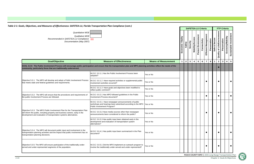**PASCO COUNTY MPO |** 2035 Long Range Transportation Plan



Chapter 2: Goals & Objectives

Table 2-1: Goals, Objectives, and Measures of Effectiveness: SAFETEA-LU, Florida Transportation Plan Compliance (cont.) *Quantitative MOE Qualitative MOE*Economic Vitality **Economic Vitality** *Recommended in SAFETEA-LU Compliance* xxx  *Documentation (May 2007)* **Safety Goal/Objective Measure of Effectiveness Means of Measurement** | 1 | 2 **Measure of EffectivenessGOAL 5.0.0: The Public Involvement Process will encourage public participation and ensure that the transportation plan and MPO planning activities reflect the needs of the community, particularly those that are traditionally underserved.**  M.O.E. 5.0.1.1 Has the Public Involvement Process been Yes or No adopted? Objective 5.0.1: The MPO will develop and adopt a Public Involvement Process M.O.E. 5.0.1.2 Have required activities or supplemental public Yes or No that meets state and federal guidelines and requirements. involvement activities occurred? M.O.E. 5.0.1.3 Have goals and objectives been modified to Yes or Noreflect public comment? M.O.E. 5.0.2.1 Has MPO followed guidelines in the Public Objective 5.0.2: The MPO will ensure that the procedures and requirements of Objective 5.0.2. The MPO will ensure that the procedures and requirements of envirors. 3.0.2.1 Has MPO followed guidelines in the Public Process are followed. Involvement Process document? M.O.E. 5.0.3.1 Have newspaper announcements of public workshops and hearings been advertised according to the MPO TYes or No Public Involvement Program? Objective 5.0.3: The MPO Public Involvement Plan for the Transportation Plan M.O.E. 5.0.3.2 Have media sources other than newspaper will inform the public, including property and business owners, early in the Yes or No announcements been considered to inform the public? development and evaluation of transportation systems alternatives. M.O.E. 5.0.3.3 Has public input been obtained early in the development and evaluation of transportation system Yes or Noalternatives?Objective 5.0.4: The MPO will document public input and involvement in the M.O.E. 5.0.4.1 Has public input been summarized in the Plan transportation planning activities and the impact that public involvement has on Yes or Nodocument?transportation planning decisions. M.O.E. 5.0.5.1 Did the MPO implement an outreach program to Objective 5.0.5: The MPO will ensure participation of the traditionally under-Objective 3.0.3. The MFO will ensure participation of the traditionally under-<br>Served and under-represented segments of the population. The modifier of the traditionally under-served and under-represented? involve the traditionally under-served and under-represented?

|                              |                   |             | <b>SAFETEA-LU Criteria</b> |                        |                            |              |                         |              |               |                             | <b>FTP Criteria</b> |                         |                        |
|------------------------------|-------------------|-------------|----------------------------|------------------------|----------------------------|--------------|-------------------------|--------------|---------------|-----------------------------|---------------------|-------------------------|------------------------|
|                              | Economic Vitality | Safety      | Security                   | <b>Mobility/Access</b> | <b>Protect Environment</b> | Connectivity | Efficient Management    | Preservation | Safe & Secure | Quality of Life/Environment | Preservation        | Economy/Mobility        | Sustainable Investment |
| eans of Measurement          | 1                 | $\mathbf 2$ | 3                          | 4                      | 5                          | 6            | $\overline{\mathbf{r}}$ | 8            | 1             | $\mathbf 2$                 | 3                   | $\overline{\mathbf{4}}$ | 5                      |
| ies reflect the needs of the |                   |             |                            |                        |                            |              |                         |              |               |                             |                     |                         |                        |
| o                            |                   |             |                            |                        |                            |              |                         |              |               |                             |                     |                         |                        |
| o                            |                   |             |                            |                        |                            |              |                         |              |               |                             |                     |                         |                        |
| o                            |                   |             |                            |                        |                            |              |                         |              |               |                             |                     |                         |                        |
| $\circ$                      |                   |             |                            |                        |                            |              |                         |              |               |                             |                     |                         |                        |
| O                            |                   |             |                            |                        |                            |              |                         |              |               |                             |                     |                         |                        |
| o                            |                   |             |                            |                        |                            |              |                         |              |               |                             |                     |                         |                        |
| o                            |                   |             |                            |                        |                            |              |                         |              |               |                             |                     |                         |                        |
| o                            |                   |             |                            |                        |                            |              |                         |              |               |                             |                     |                         |                        |
| o                            |                   |             |                            |                        |                            |              |                         |              |               |                             |                     |                         |                        |
|                              |                   |             |                            |                        |                            |              |                         |              |               |                             |                     |                         |                        |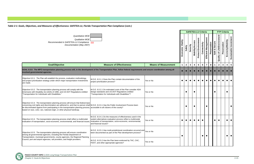|                                                                                                                                                                                                                                                                                                                                                                                                    |                                                                                                                                                                                                                    |                             |             |              | <b>SAFETEA-LU Criteria</b> |                        |                  |              |                      |              |               |                                | <b>FTP Criteria</b>              |                                            |  |  |  |  |  |
|----------------------------------------------------------------------------------------------------------------------------------------------------------------------------------------------------------------------------------------------------------------------------------------------------------------------------------------------------------------------------------------------------|--------------------------------------------------------------------------------------------------------------------------------------------------------------------------------------------------------------------|-----------------------------|-------------|--------------|----------------------------|------------------------|------------------|--------------|----------------------|--------------|---------------|--------------------------------|----------------------------------|--------------------------------------------|--|--|--|--|--|
| Quantitative MOE<br>Qualitative MOE<br>Recommended in SAFETEA-LU Compliance xxx<br>Documentation (May 2007)                                                                                                                                                                                                                                                                                        |                                                                                                                                                                                                                    |                             |             |              |                            | <b>Mobility/Access</b> | Protect Environm | Connectivity | Efficient Management | Preservation | Safe & Secure | of Life/Environment<br>Quality | Preservation                     | Sustainable Investment<br>Economy/Mobility |  |  |  |  |  |
| <b>Goal/Objective</b>                                                                                                                                                                                                                                                                                                                                                                              | <b>Measure of Effectiveness</b>                                                                                                                                                                                    | <b>Means of Measurement</b> | $\mathbf 1$ | $\mathbf{2}$ | $\mathbf{3}$               | $\boldsymbol{4}$       | $\sqrt{5}$       | 6            |                      | 8            | $\mathbf 1$   | $\mathbf{2}$                   | $\boldsymbol{4}$<br>$\mathbf{3}$ | $\overline{\mathbf{5}}$                    |  |  |  |  |  |
| GOAL 6.0.0: The MPO transportation planning process will, in the development of the Transportation Plan, follow federal requirements and ensure coordination among all<br>involved governmental agencies.                                                                                                                                                                                          |                                                                                                                                                                                                                    |                             |             |              |                            |                        |                  |              |                      |              |               |                                |                                  | $\bullet$                                  |  |  |  |  |  |
| Objective 6.0.1: The Plan will establish the process, evaluation methodology,<br>and project prioritization strategy under which major transportation investments<br>are made.                                                                                                                                                                                                                     | M.O.E. 6.0.1.1 Does the Plan contain documentation of the<br>project prioritization process?                                                                                                                       | Yes or No                   | $\bullet$   |              |                            |                        |                  |              |                      |              |               |                                |                                  |                                            |  |  |  |  |  |
| Objective 6.0.2: The transportation planning process will comply with the<br>Americans with Disability Act (ADA) of 1990, and US DOT Regulations entitled<br>"Transportation for Individuals with Disabilities."                                                                                                                                                                                   | M.O.E. 6.0.2.1 Do estimated costs of the Plan consider ADA<br>design standards and US DOT Regulations entitled<br>"Transportation for Individuals with Disabilities"?                                              | Yes or No                   |             |              |                            |                        |                  |              |                      |              |               |                                |                                  |                                            |  |  |  |  |  |
| Objective 6.0.3: The transportation planning process will ensure that federal laws<br>concerning civil rights and discrimination are adhered to, and that no person shall M.O.E. 6.0.3.1 Has the Public Involvement Process been<br>be discriminated against from participating in the transportation planning process,<br>based on race, color, sex, national origin, or other physical handicap. | accessible to all citizens of the county?                                                                                                                                                                          | Yes or No                   |             |              |                            |                        |                  |              | e                    |              |               |                                |                                  |                                            |  |  |  |  |  |
| Objective 6.0.4: The transportation planning process shall reflect a multimodal<br>evaluation of transportation, socio-economic, environmental, and financial issues.                                                                                                                                                                                                                              | M.O.E. 6.0.4.1 Do the measures of effectiveness used in the<br>system alternatives evaluation process reflect a multimodal<br>evaluation of transportation, socio-economic, environmental<br>and financial issues? | Yes or No                   | $\bullet$   |              |                            |                        | $\bullet$        |              |                      |              | $\bullet$     | $\bullet$                      |                                  |                                            |  |  |  |  |  |
| Objective 6.0.5: The transportation planning process will ensure coordination<br>among all governmental agencies, including the Florida Department of<br>Transportation, municipal governments, county agencies, the Regional Planning                                                                                                                                                             | M.O.E. 6.0.5.1 Has multi-jurisdictional coordination occurred and Yes or No<br>been documented as part of the Plan development process?                                                                            |                             | $\bullet$   |              |                            |                        |                  |              |                      |              |               |                                |                                  | $\bullet$                                  |  |  |  |  |  |
| Council, port and airport agencies, rail providers, and freight providers.                                                                                                                                                                                                                                                                                                                         | M.O.E. 6.0.5.2 Has the Plan been endorsed by TAC, CAC,<br>FDOT, and other appropriate agencies?                                                                                                                    | Yes or No                   |             |              |                            |                        |                  |              |                      |              |               |                                |                                  |                                            |  |  |  |  |  |

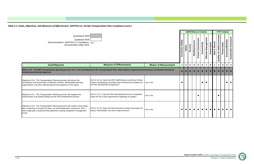

| Quantitative MOE<br>Qualitative MOE<br>Economic Vitality<br>Recommended in SAFETEA-LU Compliance xxx<br>Documentation (May 2007)                                                                                                                    |                                                                                                                                                                |                             |  |                |              |                         |                            | <b>SAFETEA-LU Criteria</b> |                          |              |                  |                                    | <b>FTP Criteria</b> |                                            |
|-----------------------------------------------------------------------------------------------------------------------------------------------------------------------------------------------------------------------------------------------------|----------------------------------------------------------------------------------------------------------------------------------------------------------------|-----------------------------|--|----------------|--------------|-------------------------|----------------------------|----------------------------|--------------------------|--------------|------------------|------------------------------------|---------------------|--------------------------------------------|
|                                                                                                                                                                                                                                                     |                                                                                                                                                                |                             |  |                | Security     | <b>Mobility/Access</b>  | <b>Protect Environment</b> | Connectivity               | ent<br>Efficient Managem | Preservation | Secure<br>Safe & | <b>Quality of Life/Environment</b> | Preservation        | Sustainable Investment<br>Economy/Mobility |
| <b>Goal/Objective</b>                                                                                                                                                                                                                               | <b>Measure of Effectiveness</b>                                                                                                                                | <b>Means of Measurement</b> |  | $\overline{2}$ | $\mathbf{3}$ | $\overline{\mathbf{4}}$ | $5\phantom{.0}$            | $6\phantom{1}$             |                          | 8            |                  | $\overline{2}$                     | $\mathbf{3}$        | $5\phantom{.0}$<br>$\overline{\mathbf{4}}$ |
| GOAL 6.0.0: The MPO transportation planning process will, in the development of the Transportation Plan, follow federal requirements and ensure coordination among all<br>involved governmental agencies.                                           |                                                                                                                                                                |                             |  |                |              |                         |                            |                            |                          |              |                  |                                    |                     |                                            |
| Objective 6.0.6: The Transportation Planning process will ensure the<br>coordination and involvement of adjacent counties, metropolitan planning<br>organizations, and other affected government agencies in the region.                            | M.O.E. 6.0.6.1 Have the MPO Staff Directors and West Florida<br>Chairs Coordinating Committee been informed and updated as<br>the Plan development progresses? | Yes or No                   |  |                |              |                         |                            | $\bullet$                  |                          |              |                  |                                    |                     |                                            |
| Objective 6.0.7: The Transportation Planning process will integrate the<br>requirements of air quality testing into the Plan development process.                                                                                                   | M.O.E. 6.0.7.1 Has the Plan development process considered<br>Clean Air Act (CAA) requirements regarding air quality?                                          | Yes or No                   |  |                |              |                         |                            |                            |                          |              |                  | $\bullet$                          |                     |                                            |
| Objective 6.0.8: The Transportation Planning process will contain a long range<br>plan component of at least 20 years, an intermediate plan component, and a<br>short range plan component that addresses existing congestion management<br>issues. | M.O.E. 6.0.8.1 Does the Plan document contain long range (20<br>years), intermediate, and short range sections?                                                | Yes or No                   |  |                |              |                         |                            | $\bullet$                  | $\bullet$                |              |                  |                                    |                     |                                            |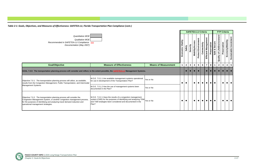| Quantitative MOE<br>Qualitative MOE<br>Vitality<br>Recommended in SAFETEA-LU Compliance xxx<br>Documentation (May 2007)<br>Economic                                                                                                                                  |                                                                                                                                                                                                   |           |           |           |          |                        |                            | <b>SAFETEA-LU Criteria</b> |                        |              |                  |                                    | <b>FTP Criteria</b> |                         |                        |
|----------------------------------------------------------------------------------------------------------------------------------------------------------------------------------------------------------------------------------------------------------------------|---------------------------------------------------------------------------------------------------------------------------------------------------------------------------------------------------|-----------|-----------|-----------|----------|------------------------|----------------------------|----------------------------|------------------------|--------------|------------------|------------------------------------|---------------------|-------------------------|------------------------|
|                                                                                                                                                                                                                                                                      |                                                                                                                                                                                                   |           |           |           | Security | <b>Mobility/Access</b> | <b>Protect Environment</b> | Connectivity               | だ<br>Efficient Managem | Preservation | Secure<br>Safe & | <b>Quality of Life/Environment</b> | Preservation        | Economy/Mobility        | Sustainable Investment |
| <b>Goal/Objective</b>                                                                                                                                                                                                                                                | <b>Measure of Effectiveness</b><br><b>Means of Measurement</b>                                                                                                                                    |           |           |           |          |                        | 5 <sup>5</sup>             | $6\phantom{1}$             | 7                      | 8            |                  | $\mathbf{2}$                       | $\mathbf{3}$        | $\overline{\mathbf{4}}$ | $5\phantom{1}$         |
| GOAL 7.0.0: The transportation planning process will consider and reflect, to the extent possible, the <b>SAFETEA-LU Management Systems.</b>                                                                                                                         |                                                                                                                                                                                                   |           |           |           |          |                        |                            |                            |                        |              |                  |                                    |                     |                         |                        |
| Objective 7.0.1: The transportation planning process will utilize, as available,<br>results from the Congestion Management, Public Transportation, and Intermodal<br>Management Systems.                                                                             | M.O.E. 7.0.1.1 Are available management systems operational<br>for use in development of the Transportation Plan?                                                                                 | Yes or No | $\bullet$ | $\bullet$ |          | $\bullet$              |                            |                            |                        | $\bullet$    | $\bullet$        |                                    |                     |                         |                        |
|                                                                                                                                                                                                                                                                      | M.O.E. 7.0.1.2 Has the use of management systems been<br>documented in the Plan?                                                                                                                  | Yes or No |           |           |          |                        |                            |                            |                        |              |                  |                                    |                     |                         |                        |
| Objective 7.0.2: The transportation planning process will consider the<br>Congestion Management System, or another congestion management process,<br>for the purposes of identifying and analyzing travel demand reduction and<br>operational management strategies. | M.O.E. 7.0.2.1 Have the results of a congestion management<br>system (CMS) for the purposes of identifying and analyzing TDM<br>and TSM strategies been considered and documented in the<br>Plan? | Yes or No |           | $\bullet$ |          | $\bullet$              |                            | $\bullet$                  | $\bullet$              |              | $\bullet$        |                                    |                     |                         |                        |